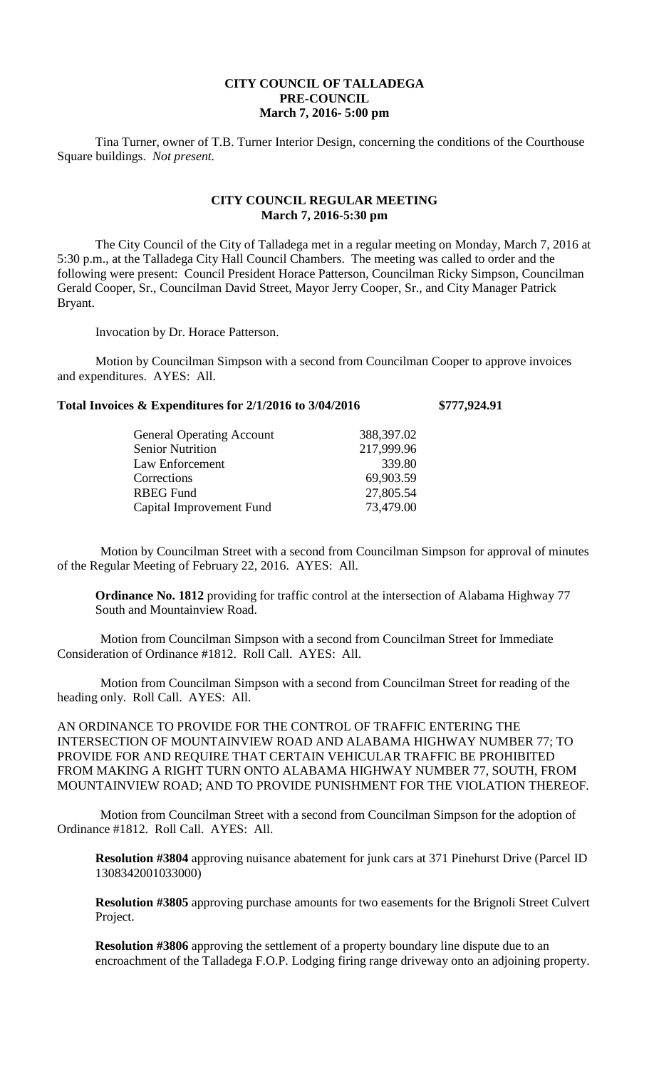## **CITY COUNCIL OF TALLADEGA PRE-COUNCIL March 7, 2016- 5:00 pm**

Tina Turner, owner of T.B. Turner Interior Design, concerning the conditions of the Courthouse Square buildings. *Not present.*

## **CITY COUNCIL REGULAR MEETING March 7, 2016-5:30 pm**

The City Council of the City of Talladega met in a regular meeting on Monday, March 7, 2016 at 5:30 p.m., at the Talladega City Hall Council Chambers. The meeting was called to order and the following were present: Council President Horace Patterson, Councilman Ricky Simpson, Councilman Gerald Cooper, Sr., Councilman David Street, Mayor Jerry Cooper, Sr., and City Manager Patrick Bryant.

Invocation by Dr. Horace Patterson.

Motion by Councilman Simpson with a second from Councilman Cooper to approve invoices and expenditures. AYES: All.

| Total Invoices & Expenditures for 2/1/2016 to 3/04/2016 | \$777,924.91 |
|---------------------------------------------------------|--------------|
|---------------------------------------------------------|--------------|

| <b>General Operating Account</b> | 388,397.02 |
|----------------------------------|------------|
| <b>Senior Nutrition</b>          | 217,999.96 |
| Law Enforcement                  | 339.80     |
| Corrections                      | 69,903.59  |
| <b>RBEG Fund</b>                 | 27,805.54  |
| Capital Improvement Fund         | 73,479.00  |
|                                  |            |

Motion by Councilman Street with a second from Councilman Simpson for approval of minutes of the Regular Meeting of February 22, 2016. AYES: All.

**Ordinance No. 1812** providing for traffic control at the intersection of Alabama Highway 77 South and Mountainview Road.

Motion from Councilman Simpson with a second from Councilman Street for Immediate Consideration of Ordinance #1812. Roll Call. AYES: All.

Motion from Councilman Simpson with a second from Councilman Street for reading of the heading only. Roll Call. AYES: All.

AN ORDINANCE TO PROVIDE FOR THE CONTROL OF TRAFFIC ENTERING THE INTERSECTION OF MOUNTAINVIEW ROAD AND ALABAMA HIGHWAY NUMBER 77; TO PROVIDE FOR AND REQUIRE THAT CERTAIN VEHICULAR TRAFFIC BE PROHIBITED FROM MAKING A RIGHT TURN ONTO ALABAMA HIGHWAY NUMBER 77, SOUTH, FROM MOUNTAINVIEW ROAD; AND TO PROVIDE PUNISHMENT FOR THE VIOLATION THEREOF.

Motion from Councilman Street with a second from Councilman Simpson for the adoption of Ordinance #1812. Roll Call. AYES: All.

**Resolution #3804** approving nuisance abatement for junk cars at 371 Pinehurst Drive (Parcel ID 1308342001033000)

**Resolution #3805** approving purchase amounts for two easements for the Brignoli Street Culvert Project.

**Resolution #3806** approving the settlement of a property boundary line dispute due to an encroachment of the Talladega F.O.P. Lodging firing range driveway onto an adjoining property.